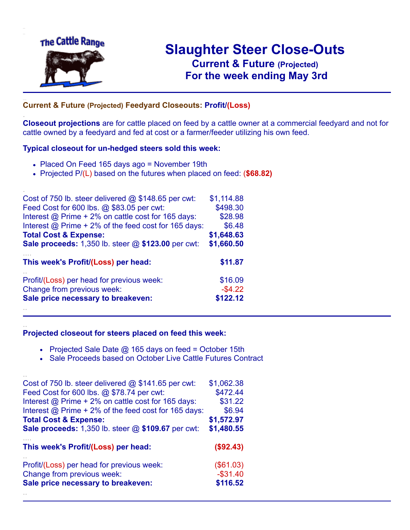

.

..

..

# **Slaughter Steer Close-Outs Current & Future (Projected)** .**For the week ending May 3rd**

### **Current & Future (Projected) Feedyard Closeouts: Profit/(Loss)**

**Closeout projections** are for cattle placed on feed by a cattle owner at a commercial feedyard and not for cattle owned by a feedyard and fed at cost or a farmer/feeder utilizing his own feed.

#### **Typical closeout for un-hedged steers sold this week:**

- Placed On Feed 165 days ago = November 19th
- Projected P/(L) based on the futures when placed on feed: (**\$68.82)**

| Cost of 750 lb. steer delivered $@$ \$148.65 per cwt:     | \$1,114.88 |
|-----------------------------------------------------------|------------|
| Feed Cost for 600 lbs. @ \$83.05 per cwt:                 | \$498.30   |
| Interest @ Prime + 2% on cattle cost for 165 days:        | \$28.98    |
| Interest $@$ Prime + 2% of the feed cost for 165 days:    | \$6.48     |
| <b>Total Cost &amp; Expense:</b>                          | \$1,648.63 |
| <b>Sale proceeds:</b> 1,350 lb. steer @ \$123.00 per cwt: | \$1,660.50 |
| This week's Profit/(Loss) per head:                       | \$11.87    |
| Profit/(Loss) per head for previous week:                 | \$16.09    |
| Change from previous week:                                | $-$4.22$   |
| Sale price necessary to breakeven:                        | \$122.12   |
|                                                           |            |

#### **Projected closeout for steers placed on feed this week:**

- Projected Sale Date  $@$  165 days on feed = October 15th
- Sale Proceeds based on October Live Cattle Futures Contract

| Cost of 750 lb. steer delivered $@$ \$141.65 per cwt:       | \$1,062.38  |
|-------------------------------------------------------------|-------------|
| Feed Cost for 600 lbs. @ \$78.74 per cwt:                   | \$472.44    |
| Interest $\omega$ Prime + 2% on cattle cost for 165 days:   | \$31.22     |
| Interest $\omega$ Prime + 2% of the feed cost for 165 days: | \$6.94      |
| <b>Total Cost &amp; Expense:</b>                            | \$1,572.97  |
| <b>Sale proceeds:</b> 1,350 lb. steer @ \$109.67 per cwt:   | \$1,480.55  |
| This week's Profit/(Loss) per head:                         | (\$92.43)   |
| Profit/(Loss) per head for previous week:                   | (\$61.03)   |
| Change from previous week:                                  | $-$ \$31.40 |
| Sale price necessary to breakeven:                          | \$116.52    |